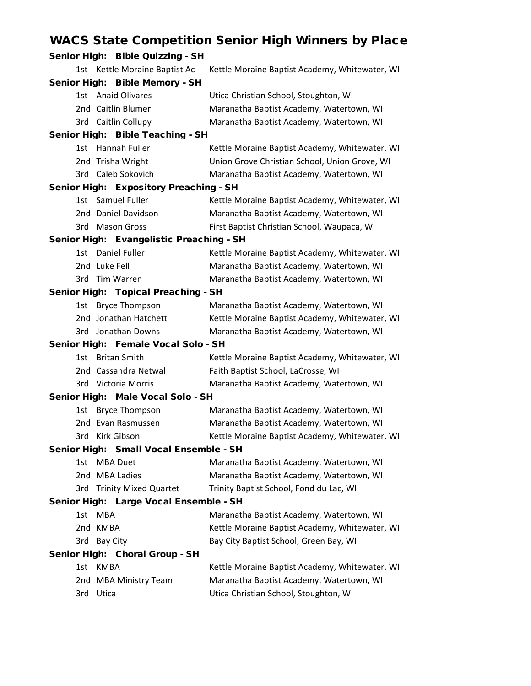## WACS State Competition Senior High Winners by Place

| Senior High: Bible Quizzing - SH                                  |                                                                                      |
|-------------------------------------------------------------------|--------------------------------------------------------------------------------------|
| 1st Kettle Moraine Baptist Ac                                     | Kettle Moraine Baptist Academy, Whitewater, WI                                       |
| Senior High: Bible Memory - SH                                    |                                                                                      |
| 1st Anaid Olivares                                                | Utica Christian School, Stoughton, WI                                                |
| 2nd Caitlin Blumer                                                | Maranatha Baptist Academy, Watertown, WI                                             |
| 3rd Caitlin Collupy                                               | Maranatha Baptist Academy, Watertown, WI                                             |
| Senior High: Bible Teaching - SH                                  |                                                                                      |
| 1st Hannah Fuller                                                 | Kettle Moraine Baptist Academy, Whitewater, WI                                       |
| 2nd Trisha Wright                                                 | Union Grove Christian School, Union Grove, WI                                        |
| 3rd Caleb Sokovich                                                | Maranatha Baptist Academy, Watertown, WI                                             |
| Senior High: Expository Preaching - SH                            |                                                                                      |
| 1st Samuel Fuller                                                 | Kettle Moraine Baptist Academy, Whitewater, WI                                       |
| 2nd Daniel Davidson                                               | Maranatha Baptist Academy, Watertown, WI                                             |
| 3rd Mason Gross                                                   | First Baptist Christian School, Waupaca, WI                                          |
| Senior High: Evangelistic Preaching - SH                          |                                                                                      |
| 1st Daniel Fuller                                                 | Kettle Moraine Baptist Academy, Whitewater, WI                                       |
| 2nd Luke Fell                                                     | Maranatha Baptist Academy, Watertown, WI                                             |
| 3rd Tim Warren                                                    | Maranatha Baptist Academy, Watertown, WI                                             |
| Senior High: Topical Preaching - SH                               |                                                                                      |
| 1st Bryce Thompson                                                | Maranatha Baptist Academy, Watertown, WI                                             |
| 2nd Jonathan Hatchett                                             | Kettle Moraine Baptist Academy, Whitewater, WI                                       |
| 3rd Jonathan Downs                                                | Maranatha Baptist Academy, Watertown, WI                                             |
| Senior High: Female Vocal Solo - SH                               |                                                                                      |
| <b>Britan Smith</b><br>1st.                                       | Kettle Moraine Baptist Academy, Whitewater, WI                                       |
| 2nd Cassandra Netwal                                              | Faith Baptist School, LaCrosse, WI                                                   |
| 3rd Victoria Morris                                               | Maranatha Baptist Academy, Watertown, WI                                             |
| Senior High: Male Vocal Solo - SH                                 |                                                                                      |
| <b>Bryce Thompson</b><br>1st                                      | Maranatha Baptist Academy, Watertown, WI                                             |
| 2nd Evan Rasmussen                                                | Maranatha Baptist Academy, Watertown, WI                                             |
| 3rd Kirk Gibson                                                   | Kettle Moraine Baptist Academy, Whitewater, WI                                       |
| Senior High: Small Vocal Ensemble - SH<br><b>MBA Duet</b><br>1st. |                                                                                      |
| 2nd MBA Ladies                                                    | Maranatha Baptist Academy, Watertown, WI<br>Maranatha Baptist Academy, Watertown, WI |
| 3rd Trinity Mixed Quartet                                         | Trinity Baptist School, Fond du Lac, WI                                              |
| Senior High: Large Vocal Ensemble - SH                            |                                                                                      |
| 1st<br><b>MBA</b>                                                 | Maranatha Baptist Academy, Watertown, WI                                             |
| 2nd KMBA                                                          | Kettle Moraine Baptist Academy, Whitewater, WI                                       |
| 3rd Bay City                                                      | Bay City Baptist School, Green Bay, WI                                               |
| Senior High: Choral Group - SH                                    |                                                                                      |
| <b>KMBA</b><br>1st                                                | Kettle Moraine Baptist Academy, Whitewater, WI                                       |
| 2nd MBA Ministry Team                                             | Maranatha Baptist Academy, Watertown, WI                                             |
| 3rd Utica                                                         | Utica Christian School, Stoughton, WI                                                |
|                                                                   |                                                                                      |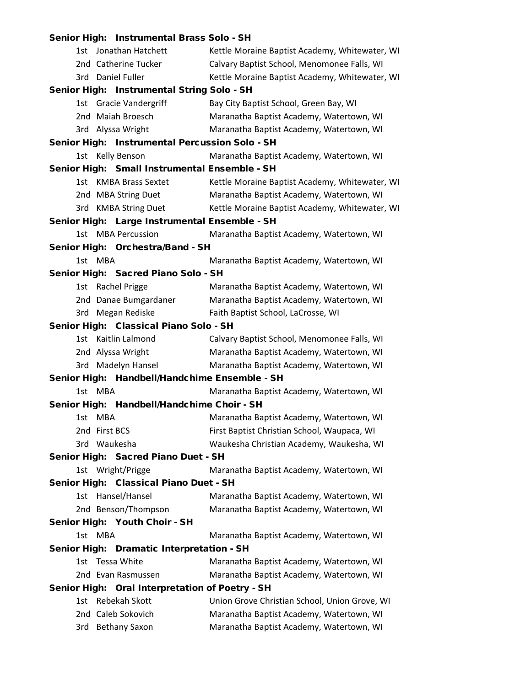|               | Senior High: Instrumental Brass Solo - SH       |                                                |
|---------------|-------------------------------------------------|------------------------------------------------|
|               | 1st Jonathan Hatchett                           | Kettle Moraine Baptist Academy, Whitewater, WI |
|               | 2nd Catherine Tucker                            | Calvary Baptist School, Menomonee Falls, WI    |
|               | 3rd Daniel Fuller                               | Kettle Moraine Baptist Academy, Whitewater, WI |
|               | Senior High: Instrumental String Solo - SH      |                                                |
|               | 1st Gracie Vandergriff                          | Bay City Baptist School, Green Bay, WI         |
|               | 2nd Maiah Broesch                               | Maranatha Baptist Academy, Watertown, WI       |
|               | 3rd Alyssa Wright                               | Maranatha Baptist Academy, Watertown, WI       |
|               | Senior High: Instrumental Percussion Solo - SH  |                                                |
|               | 1st Kelly Benson                                | Maranatha Baptist Academy, Watertown, WI       |
|               | Senior High: Small Instrumental Ensemble - SH   |                                                |
|               | 1st KMBA Brass Sextet                           | Kettle Moraine Baptist Academy, Whitewater, WI |
|               | 2nd MBA String Duet                             | Maranatha Baptist Academy, Watertown, WI       |
|               | 3rd KMBA String Duet                            | Kettle Moraine Baptist Academy, Whitewater, WI |
|               | Senior High: Large Instrumental Ensemble - SH   |                                                |
|               | 1st MBA Percussion                              | Maranatha Baptist Academy, Watertown, WI       |
|               | Senior High: Orchestra/Band - SH                |                                                |
| 1st MBA       |                                                 | Maranatha Baptist Academy, Watertown, WI       |
|               | Senior High: Sacred Piano Solo - SH             |                                                |
|               | 1st Rachel Prigge                               | Maranatha Baptist Academy, Watertown, WI       |
|               | 2nd Danae Bumgardaner                           | Maranatha Baptist Academy, Watertown, WI       |
|               | 3rd Megan Rediske                               | Faith Baptist School, LaCrosse, WI             |
|               | Senior High: Classical Piano Solo - SH          |                                                |
|               | 1st Kaitlin Lalmond                             | Calvary Baptist School, Menomonee Falls, WI    |
|               | 2nd Alyssa Wright                               | Maranatha Baptist Academy, Watertown, WI       |
|               | 3rd Madelyn Hansel                              | Maranatha Baptist Academy, Watertown, WI       |
|               | Senior High: Handbell/Handchime Ensemble - SH   |                                                |
| 1st MBA       |                                                 | Maranatha Baptist Academy, Watertown, WI       |
|               | Senior High: Handbell/Handchime Choir - SH      |                                                |
| 1st MBA       |                                                 | Maranatha Baptist Academy, Watertown, WI       |
| 2nd First BCS |                                                 | First Baptist Christian School, Waupaca, WI    |
|               | 3rd Waukesha                                    | Waukesha Christian Academy, Waukesha, WI       |
|               | Senior High: Sacred Piano Duet - SH             |                                                |
|               | 1st Wright/Prigge                               | Maranatha Baptist Academy, Watertown, WI       |
|               | Senior High: Classical Piano Duet - SH          |                                                |
|               | 1st Hansel/Hansel                               | Maranatha Baptist Academy, Watertown, WI       |
|               | 2nd Benson/Thompson                             | Maranatha Baptist Academy, Watertown, WI       |
|               | Senior High: Youth Choir - SH                   |                                                |
| 1st MBA       |                                                 | Maranatha Baptist Academy, Watertown, WI       |
|               | Senior High: Dramatic Interpretation - SH       |                                                |
|               | 1st Tessa White                                 | Maranatha Baptist Academy, Watertown, WI       |
|               | 2nd Evan Rasmussen                              | Maranatha Baptist Academy, Watertown, WI       |
|               | Senior High: Oral Interpretation of Poetry - SH |                                                |
|               | 1st Rebekah Skott                               | Union Grove Christian School, Union Grove, WI  |
|               | 2nd Caleb Sokovich                              | Maranatha Baptist Academy, Watertown, WI       |
|               | 3rd Bethany Saxon                               | Maranatha Baptist Academy, Watertown, WI       |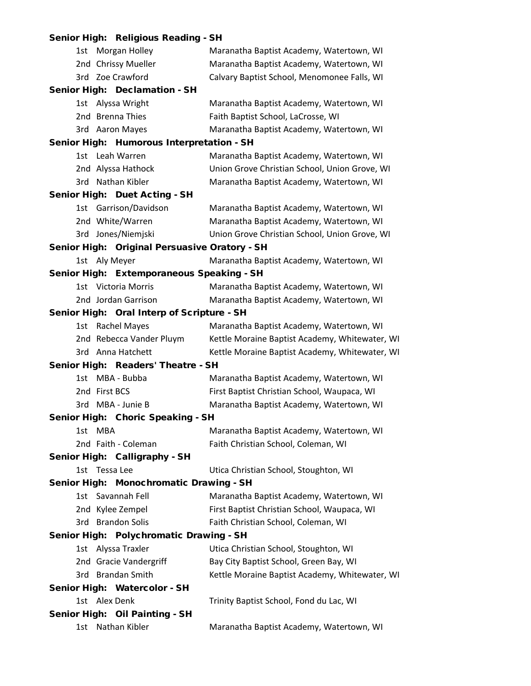|         | Senior High: Religious Reading - SH           |                                                |
|---------|-----------------------------------------------|------------------------------------------------|
|         | 1st Morgan Holley                             | Maranatha Baptist Academy, Watertown, WI       |
|         | 2nd Chrissy Mueller                           | Maranatha Baptist Academy, Watertown, WI       |
|         | 3rd Zoe Crawford                              | Calvary Baptist School, Menomonee Falls, WI    |
|         | Senior High: Declamation - SH                 |                                                |
|         | 1st Alyssa Wright                             | Maranatha Baptist Academy, Watertown, WI       |
|         | 2nd Brenna Thies                              | Faith Baptist School, LaCrosse, WI             |
|         | 3rd Aaron Mayes                               | Maranatha Baptist Academy, Watertown, WI       |
|         | Senior High: Humorous Interpretation - SH     |                                                |
|         | 1st Leah Warren                               | Maranatha Baptist Academy, Watertown, WI       |
|         | 2nd Alyssa Hathock                            | Union Grove Christian School, Union Grove, WI  |
|         | 3rd Nathan Kibler                             | Maranatha Baptist Academy, Watertown, WI       |
|         | Senior High: Duet Acting - SH                 |                                                |
|         | 1st Garrison/Davidson                         | Maranatha Baptist Academy, Watertown, WI       |
|         | 2nd White/Warren                              | Maranatha Baptist Academy, Watertown, WI       |
|         | 3rd Jones/Niemjski                            | Union Grove Christian School, Union Grove, WI  |
|         | Senior High: Original Persuasive Oratory - SH |                                                |
|         | 1st Aly Meyer                                 | Maranatha Baptist Academy, Watertown, WI       |
|         | Senior High: Extemporaneous Speaking - SH     |                                                |
|         | 1st Victoria Morris                           | Maranatha Baptist Academy, Watertown, WI       |
|         | 2nd Jordan Garrison                           | Maranatha Baptist Academy, Watertown, WI       |
|         | Senior High: Oral Interp of Scripture - SH    |                                                |
|         | 1st Rachel Mayes                              | Maranatha Baptist Academy, Watertown, WI       |
|         | 2nd Rebecca Vander Pluym                      | Kettle Moraine Baptist Academy, Whitewater, WI |
|         | 3rd Anna Hatchett                             | Kettle Moraine Baptist Academy, Whitewater, WI |
|         | Senior High: Readers' Theatre - SH            |                                                |
|         | 1st MBA - Bubba                               | Maranatha Baptist Academy, Watertown, WI       |
|         | 2nd First BCS                                 | First Baptist Christian School, Waupaca, WI    |
|         | 3rd MBA - Junie B                             | Maranatha Baptist Academy, Watertown, WI       |
|         | Senior High: Choric Speaking - SH             |                                                |
| 1st MBA |                                               | Maranatha Baptist Academy, Watertown, WI       |
|         | 2nd Faith - Coleman                           | Faith Christian School, Coleman, WI            |
|         | Senior High: Calligraphy - SH                 |                                                |
|         | 1st Tessa Lee                                 | Utica Christian School, Stoughton, WI          |
|         | Senior High: Monochromatic Drawing - SH       |                                                |
|         | 1st Savannah Fell                             | Maranatha Baptist Academy, Watertown, WI       |
|         | 2nd Kylee Zempel                              | First Baptist Christian School, Waupaca, WI    |
|         | 3rd Brandon Solis                             | Faith Christian School, Coleman, WI            |
|         | Senior High: Polychromatic Drawing - SH       |                                                |
|         | 1st Alyssa Traxler                            | Utica Christian School, Stoughton, WI          |
|         | 2nd Gracie Vandergriff                        | Bay City Baptist School, Green Bay, WI         |
|         | 3rd Brandan Smith                             | Kettle Moraine Baptist Academy, Whitewater, WI |
|         | Senior High: Watercolor - SH                  |                                                |
|         | 1st Alex Denk                                 | Trinity Baptist School, Fond du Lac, WI        |
|         | Senior High: Oil Painting - SH                |                                                |
| 1st     | Nathan Kibler                                 | Maranatha Baptist Academy, Watertown, WI       |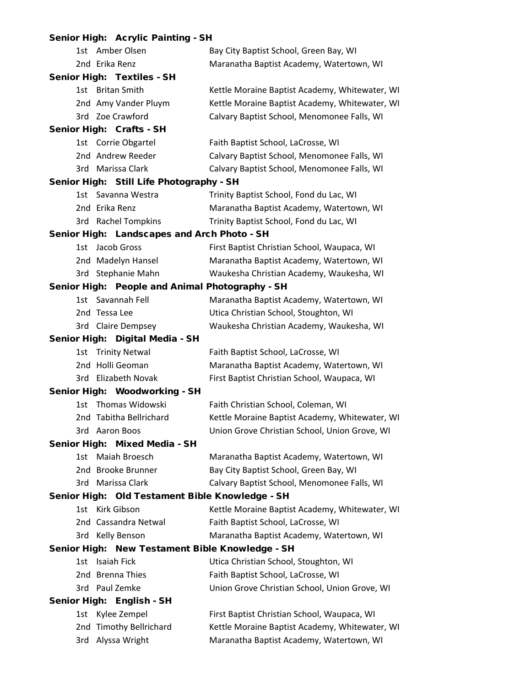| Senior High: Acrylic Painting - SH              |                                                |
|-------------------------------------------------|------------------------------------------------|
| 1st Amber Olsen                                 | Bay City Baptist School, Green Bay, WI         |
| 2nd Erika Renz                                  | Maranatha Baptist Academy, Watertown, WI       |
| Senior High: Textiles - SH                      |                                                |
| 1st Britan Smith                                | Kettle Moraine Baptist Academy, Whitewater, WI |
| 2nd Amy Vander Pluym                            | Kettle Moraine Baptist Academy, Whitewater, WI |
| 3rd Zoe Crawford                                | Calvary Baptist School, Menomonee Falls, WI    |
| Senior High: Crafts - SH                        |                                                |
| 1st Corrie Obgartel                             | Faith Baptist School, LaCrosse, WI             |
| 2nd Andrew Reeder                               | Calvary Baptist School, Menomonee Falls, WI    |
| 3rd Marissa Clark                               | Calvary Baptist School, Menomonee Falls, WI    |
| Senior High: Still Life Photography - SH        |                                                |
| 1st Savanna Westra                              | Trinity Baptist School, Fond du Lac, WI        |
| 2nd Erika Renz                                  | Maranatha Baptist Academy, Watertown, WI       |
| 3rd Rachel Tompkins                             | Trinity Baptist School, Fond du Lac, WI        |
| Senior High: Landscapes and Arch Photo - SH     |                                                |
| 1st Jacob Gross                                 | First Baptist Christian School, Waupaca, WI    |
| 2nd Madelyn Hansel                              | Maranatha Baptist Academy, Watertown, WI       |
| 3rd Stephanie Mahn                              | Waukesha Christian Academy, Waukesha, WI       |
| Senior High: People and Animal Photography - SH |                                                |
| 1st Savannah Fell                               | Maranatha Baptist Academy, Watertown, WI       |
| 2nd Tessa Lee                                   | Utica Christian School, Stoughton, WI          |
| 3rd Claire Dempsey                              | Waukesha Christian Academy, Waukesha, WI       |
| Senior High: Digital Media - SH                 |                                                |
| 1st Trinity Netwal                              | Faith Baptist School, LaCrosse, WI             |
| 2nd Holli Geoman                                | Maranatha Baptist Academy, Watertown, WI       |
| 3rd Elizabeth Novak                             | First Baptist Christian School, Waupaca, WI    |
| Senior High: Woodworking - SH                   |                                                |
| 1st Thomas Widowski                             | Faith Christian School, Coleman, WI            |
| 2nd Tabitha Bellrichard                         | Kettle Moraine Baptist Academy, Whitewater, WI |
| 3rd Aaron Boos                                  | Union Grove Christian School, Union Grove, WI  |
| Senior High: Mixed Media - SH                   |                                                |
| 1st Maiah Broesch                               | Maranatha Baptist Academy, Watertown, WI       |
| 2nd Brooke Brunner                              | Bay City Baptist School, Green Bay, WI         |
| 3rd Marissa Clark                               | Calvary Baptist School, Menomonee Falls, WI    |
| Senior High: Old Testament Bible Knowledge - SH |                                                |
| 1st Kirk Gibson                                 | Kettle Moraine Baptist Academy, Whitewater, WI |
| 2nd Cassandra Netwal                            | Faith Baptist School, LaCrosse, WI             |
| 3rd Kelly Benson                                | Maranatha Baptist Academy, Watertown, WI       |
| Senior High: New Testament Bible Knowledge - SH |                                                |
| 1st Isaiah Fick                                 | Utica Christian School, Stoughton, WI          |
| 2nd Brenna Thies                                | Faith Baptist School, LaCrosse, WI             |
| 3rd Paul Zemke                                  | Union Grove Christian School, Union Grove, WI  |
| Senior High: English - SH                       |                                                |
| Kylee Zempel<br>1st                             | First Baptist Christian School, Waupaca, WI    |
| 2nd Timothy Bellrichard                         | Kettle Moraine Baptist Academy, Whitewater, WI |
| Alyssa Wright<br>3rd                            | Maranatha Baptist Academy, Watertown, WI       |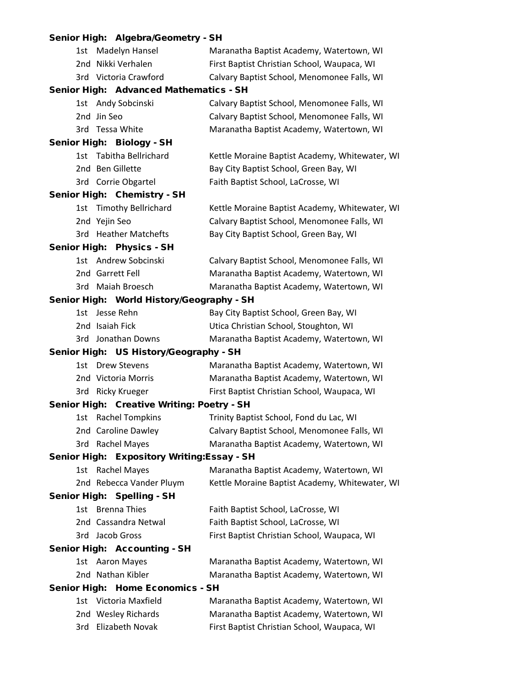## Senior High: Algebra/Geometry - SH

| 1st | Madelyn Hansel                              | Maranatha Baptist Academy, Watertown, WI       |
|-----|---------------------------------------------|------------------------------------------------|
|     | 2nd Nikki Verhalen                          | First Baptist Christian School, Waupaca, WI    |
|     | 3rd Victoria Crawford                       | Calvary Baptist School, Menomonee Falls, WI    |
|     | Senior High: Advanced Mathematics - SH      |                                                |
|     | 1st Andy Sobcinski                          | Calvary Baptist School, Menomonee Falls, WI    |
|     | 2nd Jin Seo                                 | Calvary Baptist School, Menomonee Falls, WI    |
|     | 3rd Tessa White                             | Maranatha Baptist Academy, Watertown, WI       |
|     | Senior High: Biology - SH                   |                                                |
|     | 1st Tabitha Bellrichard                     | Kettle Moraine Baptist Academy, Whitewater, WI |
|     | 2nd Ben Gillette                            | Bay City Baptist School, Green Bay, WI         |
|     | 3rd Corrie Obgartel                         | Faith Baptist School, LaCrosse, WI             |
|     | Senior High: Chemistry - SH                 |                                                |
|     | 1st Timothy Bellrichard                     | Kettle Moraine Baptist Academy, Whitewater, WI |
|     | 2nd Yejin Seo                               | Calvary Baptist School, Menomonee Falls, WI    |
|     | 3rd Heather Matchefts                       | Bay City Baptist School, Green Bay, WI         |
|     | Senior High: Physics - SH                   |                                                |
|     | 1st Andrew Sobcinski                        | Calvary Baptist School, Menomonee Falls, WI    |
|     | 2nd Garrett Fell                            | Maranatha Baptist Academy, Watertown, WI       |
|     | 3rd Maiah Broesch                           | Maranatha Baptist Academy, Watertown, WI       |
|     | Senior High: World History/Geography - SH   |                                                |
|     | 1st Jesse Rehn                              | Bay City Baptist School, Green Bay, WI         |
|     | 2nd Isaiah Fick                             | Utica Christian School, Stoughton, WI          |
|     | 3rd Jonathan Downs                          | Maranatha Baptist Academy, Watertown, WI       |
|     | Senior High: US History/Geography - SH      |                                                |
|     | 1st Drew Stevens                            | Maranatha Baptist Academy, Watertown, WI       |
|     | 2nd Victoria Morris                         | Maranatha Baptist Academy, Watertown, WI       |
|     | 3rd Ricky Krueger                           | First Baptist Christian School, Waupaca, WI    |
|     | Senior High: Creative Writing: Poetry - SH  |                                                |
|     | 1st Rachel Tompkins                         | Trinity Baptist School, Fond du Lac, WI        |
|     | 2nd Caroline Dawley                         | Calvary Baptist School, Menomonee Falls, WI    |
|     | 3rd Rachel Mayes                            | Maranatha Baptist Academy, Watertown, WI       |
|     | Senior High: Expository Writing: Essay - SH |                                                |
| 1st | <b>Rachel Mayes</b>                         | Maranatha Baptist Academy, Watertown, WI       |
|     | 2nd Rebecca Vander Pluym                    | Kettle Moraine Baptist Academy, Whitewater, WI |
|     | Senior High: Spelling - SH                  |                                                |
|     | 1st Brenna Thies                            | Faith Baptist School, LaCrosse, WI             |
|     | 2nd Cassandra Netwal                        | Faith Baptist School, LaCrosse, WI             |
|     | 3rd Jacob Gross                             | First Baptist Christian School, Waupaca, WI    |
|     | Senior High: Accounting - SH                |                                                |
|     | 1st Aaron Mayes                             | Maranatha Baptist Academy, Watertown, WI       |
|     | 2nd Nathan Kibler                           | Maranatha Baptist Academy, Watertown, WI       |
|     | Senior High: Home Economics - SH            |                                                |
|     | 1st Victoria Maxfield                       | Maranatha Baptist Academy, Watertown, WI       |
|     | 2nd Wesley Richards                         | Maranatha Baptist Academy, Watertown, WI       |
|     | 3rd Elizabeth Novak                         | First Baptist Christian School, Waupaca, WI    |